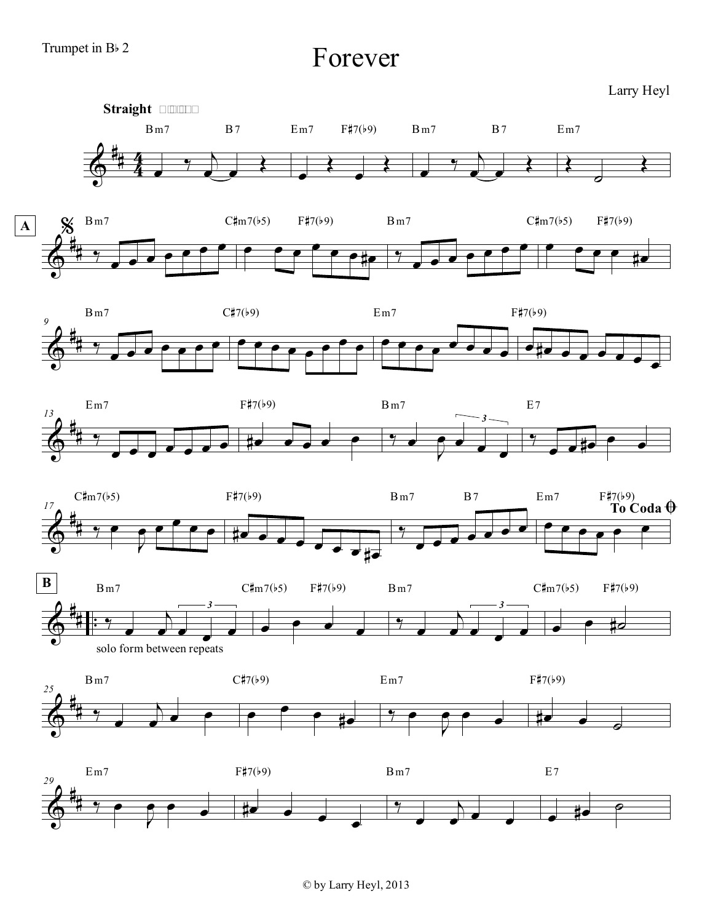Forever

Larry Heyl

















© by Larry Heyl, 2013